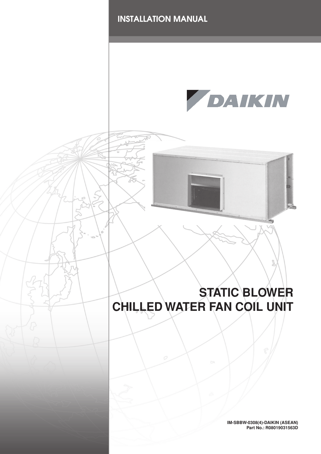

**IM-SBBW-0308(4)-DAIKIN (ASEAN) Part No.: R08019031563D**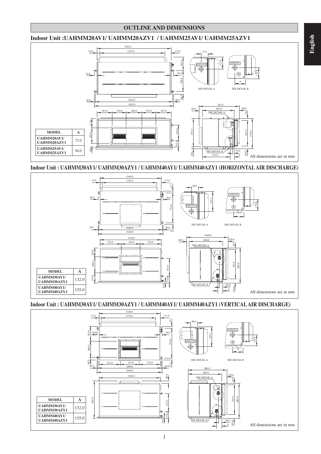#### **OUTLINE AND DIMENSIONS**

#### **Indoor Unit :UAHMM20AV1/ UAHMM20AZV1 / UAHMM25AV1/ UAHMM25AZV1**



**Indoor Unit : UAHMM30AY1/ UAHMM30AZY1 / UAHMM40AY1/ UAHMM40AZY1 (HORIZONTAL AIR DISCHARGE)**



**Indoor Unit : UAHMM30AY1/ UAHMM30AZY1 / UAHMM40AY1/ UAHMM40AZY1 (VERTICAL AIR DISCHARGE)**

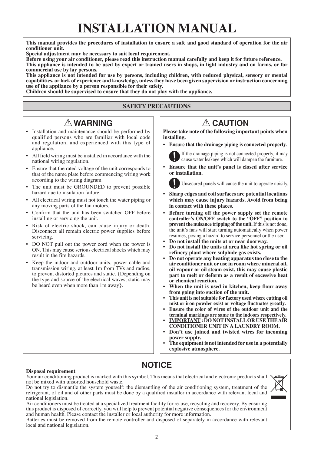# **INSTALLATION MANUAL**

**This manual provides the procedures of installation to ensure a safe and good standard of operation for the air conditioner unit.**

**Special adjustment may be necessary to suit local requirement.**

**Before using your air conditioner, please read this instruction manual carefully and keep it for future reference. This appliance is intended to be used by expert or trained users in shops, in light industry and on farms, or for commercial use by lay persons.**

**This appliance is not intended for use by persons, including children, with reduced physical, sensory or mental capabilities, or lack of experience and knowledge, unless they have been given supervision or instruction concerning use of the appliance by a person responsible for their safety.**

**Children should be supervised to ensure that they do not play with the appliance.**

#### **SAFETY PRECAUTIONS**

## ! **WARNING** ! **CAUTION**

- Installation and maintenance should be performed by qualified persons who are familiar with local code and regulation, and experienced with this type of appliance. ï
- All field wiring must be installed in accordance with the national wiring regulation.  $\bullet$
- Ensure that the rated voltage of the unit corresponds to that of the name plate before commencing wiring work according to the wiring diagram. ï
- The unit must be GROUNDED to prevent possible hazard due to insulation failure. ï
- All electrical wiring must not touch the water piping or any moving parts of the fan motors. ï
- Confirm that the unit has been switched OFF before installing or servicing the unit. ï
- Risk of electric shock, can cause injury or death. Disconnect all remain electric power supplies before servicing. ï
- DO NOT pull out the power cord when the power is ON. This may cause serious electrical shocks which may result in the fire hazards. ï
- Keep the indoor and outdoor units, power cable and transmission wiring, at least 1m from TVs and radios, to prevent distorted pictures and static. {Depending on the type and source of the electrical waves, static may be heard even when more than 1m away}. ï

**Please take note of the following important points when installing.**

Ensure that the drainage piping is connected properly.



If the drainage piping is not connected properly, it may cause water leakage which will dampen the furniture.

**Ensure that the unit's panel is closed after service or installation.** ï

Unsecured panels will cause the unit to operate noisily.

- **Sharp edges and coil surfaces are potential locations which may cause injury hazards. Avoid from being in contact with these places.** ï
- **Before turning off the power supply set the remote**  controller's ON/OFF switch to the "OFF" position to **prevent the nuisance tripping of the unit.** If this is not done, the unit's fans will start turning automatically when power resumes, posing a hazard to service personnel or the user. ï
- **Do not install the units at or near doorway.** ï
- **Do not install the units at area like hot spring or oil refinery plant where sulphide gas exists.** ï
- **Do not operate any heating apparatus too close to the air conditioner unit or use in room where mineral oil, oil vapour or oil steam exist, this may cause plastic part to melt or deform as a result of excessive heat or chemical reaction.** ï
- **When the unit is used in kitchen, keep flour away from going into suction of the unit.** ï
- **This unit is not suitable for factory used where cutting oil mist or iron powder exist or voltage fluctuates greatly.** ï
- **Ensure the color of wires of the outdoor unit and the terminal markings are same to the indoors respectively.** ï
- **IMPORTANT : DO NOT INSTALL OR USE THE AIR CONDITIONER UNIT IN A LAUNDRY ROOM.** ï
- Don't use joined and twisted wires for incoming **power supply.** ï
- **The equipment is not intended for use in a potentially explosive atmosphere.** ï

#### **Disposal requirement**

**NOTICE**

Your air conditioning product is marked with this symbol. This means that electrical and electronic products shall not be mixed with unsorted household waste.

Do not try to dismantle the system yourself: the dismantling of the air conditioning system, treatment of the refrigerant, of oil and of other parts must be done by a qualified installer in accordance with relevant local and national legislation.

Air conditioners must be treated at a specialized treatment facility for re-use, recycling and recovery. By ensuring this product is disposed of correctly, you will help to prevent potential negative consequences for the environment and human health. Please contact the installer or local authority for more information.

Batteries must be removed from the remote controller and disposed of separately in accordance with relevant local and national legislation.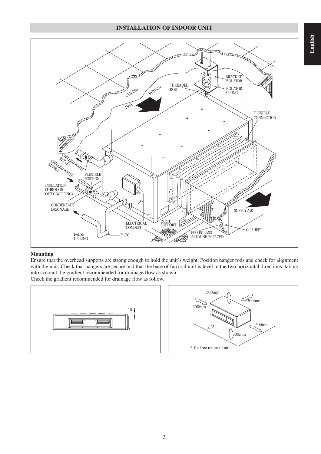#### **INSTALLATION OF INDOOR UNIT**



#### **Mounting**

Ensure that the overhead supports are strong enough to hold the unit's weight. Position hanger rods and check for alignment with the unit. Check that hangers are secure and that the base of fan coil unit is level in the two horizontal directions, taking into account the gradient recommended for drainage flow as shown. Check the gradient recommended for drainage flow as follow.

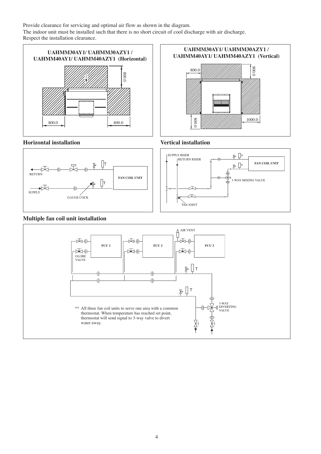Provide clearance for servicing and optimal air flow as shown in the diagram. The indoor unit must be installed such that there is no short circuit of cool discharge with air discharge. Respect the installation clearance.







### **Multiple fan coil unit installation**





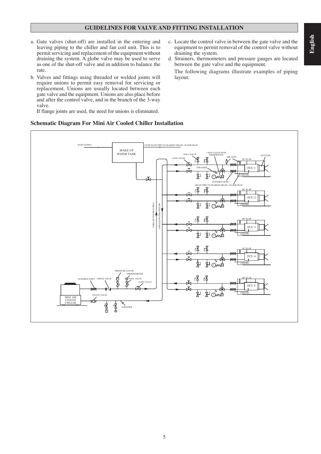#### **GUIDELINES FOR VALVE AND FITTING INSTALLATION**

- a. Gate valves (shut-off) are installed in the entering and leaving piping to the chiller and fan coil unit. This is to permit servicing and replacement of the equipment without draining the system. A globe valve may be used to serve as one of the shut-off valve and in addition to balance the rate.
- b. Valves and fittings using threaded or welded joints will require unions to permit easy removal for servicing or replacement. Unions are usually located between each gate valve and the equipment. Unions are also place before and after the control valve, and in the branch of the 3-way valve.

If flange joints are used, the need for unions is eliminated.

### **Schematic Diagram For Mini Air Cooled Chiller Installation**

- c. Locate the control valve in between the gate valve and the equipment to permit removal of the control valve without draining the system.
- d. Strainers, thermometers and pressure gauges are located between the gate valve and the equipment.

 The following diagrams illustrate examples of piping layout:

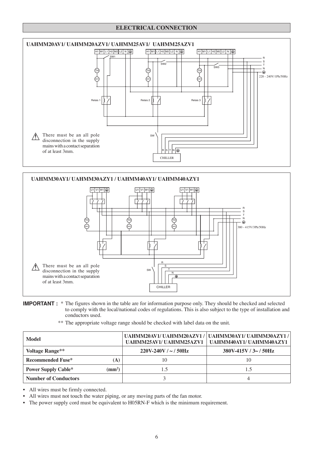#### **ELECTRICAL CONNECTION**





#### **IMPORTANT :** \* The figures shown in the table are for information purpose only. They should be checked and selected to comply with the local/national codes of regulations. This is also subject to the type of installation and conductors used.

\*\* The appropriate voltage range should be checked with label data on the unit.

| Model                       |                  |                         | UAHMM20AV1/UAHMM20AZV1/UAHMM30AY1/UAHMM30AZY1/<br>UAHMM25AV1/UAHMM25AZV1   UAHMM40AY1/UAHMM40AZY1 |
|-----------------------------|------------------|-------------------------|---------------------------------------------------------------------------------------------------|
| <b>Voltage Range**</b>      |                  | $220V-240V / \sim 50Hz$ | $380V-415V/3\sim 50Hz$                                                                            |
| <b>Recommended Fuse*</b>    | (A)              | 10                      | 10                                                                                                |
| <b>Power Supply Cable*</b>  | $\text{ (mm}^2)$ |                         |                                                                                                   |
| <b>Number of Conductors</b> |                  |                         |                                                                                                   |

• All wires must be firmly connected.

- All wires must not touch the water piping, or any moving parts of the fan motor. ï
- The power supply cord must be equivalent to H05RN-F which is the minimum requirement.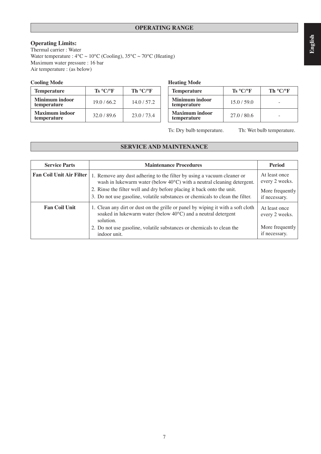### **OPERATING RANGE**

#### **Operating Limits:**

Thermal carrier : Water Water temperature :  $4^{\circ}$ C ~  $10^{\circ}$ C (Cooling),  $35^{\circ}$ C ~  $70^{\circ}$ C (Heating) Maximum water pressure : 16 bar Air temperature : (as below)

#### **Cooling Mode Heating Mode**

| <b>Temperature</b>            | $\mathbf{Ts} \ ^{\circ} \mathbf{C} / ^{\circ} \mathbf{F}$ | Th $\rm ^o$ C/ $\rm ^o$ F | <b>Temperature</b>                   | $\text{Ts} \ ^{\circ} \text{C} / ^{\circ} \text{F}$ | Th $\rm ^o$ C/ $\rm ^o$ F |
|-------------------------------|-----------------------------------------------------------|---------------------------|--------------------------------------|-----------------------------------------------------|---------------------------|
| Minimum indoor<br>temperature | 19.0 / 66.2                                               | 14.0/57.2                 | Minimum indoor<br>temperature        | 15.0/59.0                                           |                           |
| Maximum indoor<br>temperature | 32.0 / 89.6                                               | 23.0/73.4                 | <b>Maximum indoor</b><br>temperature | 27.0/80.6                                           |                           |

| <b>Temperature</b>                   | Ts °C/°F    | Th °C/PF |  |  |
|--------------------------------------|-------------|----------|--|--|
| Minimum indoor<br>temperature        | 15.0 / 59.0 |          |  |  |
| <b>Maximum</b> indoor<br>temperature | 27.0 / 80.6 |          |  |  |

Ts: Dry bulb temperature. Th: Wet bulb temperature.

### **SERVICE AND MAINTENANCE**

| <b>Service Parts</b>            | <b>Maintenance Procedures</b>                                                                                                                                 | <b>Period</b>                    |
|---------------------------------|---------------------------------------------------------------------------------------------------------------------------------------------------------------|----------------------------------|
| <b>Fan Coil Unit Air Filter</b> | 1. Remove any dust adhering to the filter by using a vacuum cleaner or<br>wash in lukewarm water (below $40^{\circ}$ C) with a neutral cleaning detergent.    | At least once<br>every 2 weeks.  |
|                                 | 2. Rinse the filter well and dry before placing it back onto the unit.<br>3. Do not use gasoline, volatile substances or chemicals to clean the filter.       | More frequently<br>if necessary. |
| <b>Fan Coil Unit</b>            | 1. Clean any dirt or dust on the grille or panel by wiping it with a soft cloth<br>soaked in lukewarm water (below 40°C) and a neutral detergent<br>solution. | At least once<br>every 2 weeks.  |
|                                 | 2. Do not use gasoline, volatile substances or chemicals to clean the<br>indoor unit.                                                                         | More frequently<br>if necessary. |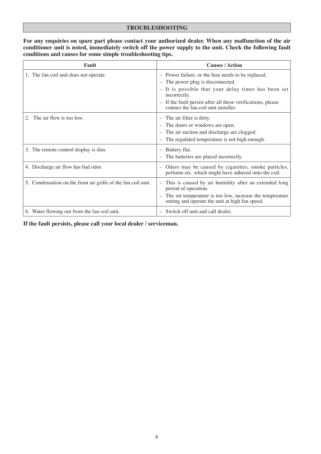#### **TROUBLESHOOTING**

#### **For any enquiries on spare part please contact your authorized dealer. When any malfunction of the air conditioner unit is noted, immediately switch off the power supply to the unit. Check the following fault conditions and causes for some simple troubleshooting tips.**

| Fault                                                         | <b>Causes / Action</b>                                                                                                                                                                                                                                                                         |
|---------------------------------------------------------------|------------------------------------------------------------------------------------------------------------------------------------------------------------------------------------------------------------------------------------------------------------------------------------------------|
| 1. The fan coil unit does not operate.                        | - Power failure, or the fuse needs to be replaced.<br>- The power plug is disconnected.<br>It is possible that your delay timer has been set<br>incorrectly.<br>If the fault persist after all these verifications, please<br>$\overline{\phantom{m}}$<br>contact the fan coil unit installer. |
| The air flow is too low.                                      | $-$ The air filter is dirty.<br>The doors or windows are open.<br>The air suction and discharge are clogged.<br>The regulated temperature is not high enough.<br>$\overline{\phantom{0}}$                                                                                                      |
| 3. The remote control display is dim.                         | Battery flat.<br>The batteries are placed incorrectly.                                                                                                                                                                                                                                         |
| 4. Discharge air flow has bad odor.                           | Odors may be caused by cigarettes, smoke particles,<br>perfume etc. which might have adhered onto the coil.                                                                                                                                                                                    |
| 5. Condensation on the front air grille of the fan coil unit. | This is caused by air humidity after an extended long<br>period of operation.<br>The set temperature is too low, increase the temperature<br>setting and operate the unit at high fan speed.                                                                                                   |
| 6. Water flowing out from the fan coil unit.                  | - Switch off unit and call dealer.                                                                                                                                                                                                                                                             |

**If the fault persists, please call your local dealer / serviceman.**